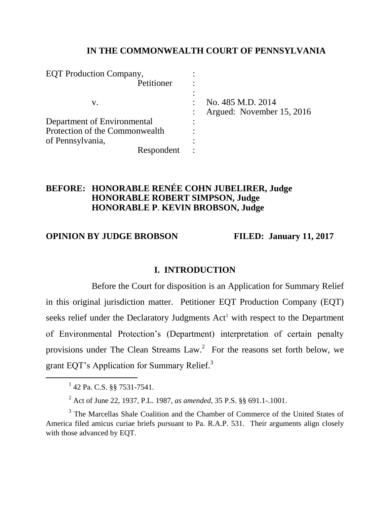## **IN THE COMMONWEALTH COURT OF PENNSYLVANIA**

| <b>EQT</b> Production Company, |                                                |
|--------------------------------|------------------------------------------------|
| Petitioner                     |                                                |
| V.                             | No. 485 M.D. 2014<br>Argued: November 15, 2016 |
| Department of Environmental    |                                                |
| Protection of the Commonwealth |                                                |
| of Pennsylvania,               |                                                |
| Respondent                     |                                                |

## **BEFORE: HONORABLE RENÉE COHN JUBELIRER, Judge HONORABLE ROBERT SIMPSON, Judge HONORABLE P**. **KEVIN BROBSON, Judge**

# **OPINION BY JUDGE BROBSON FILED: January 11, 2017**

## **I. INTRODUCTION**

Before the Court for disposition is an Application for Summary Relief in this original jurisdiction matter. Petitioner EQT Production Company (EQT) seeks relief under the Declaratory Judgments Act<sup>1</sup> with respect to the Department of Environmental Protection's (Department) interpretation of certain penalty provisions under The Clean Streams Law.<sup>2</sup> For the reasons set forth below, we grant EQT's Application for Summary Relief.<sup>3</sup>

<sup>&</sup>lt;sup>1</sup> 42 Pa. C.S. §§ 7531-7541.

<sup>2</sup> Act of June 22, 1937, P.L. 1987, *as amended*, 35 P.S. §§ 691.1-.1001.

<sup>&</sup>lt;sup>3</sup> The Marcellas Shale Coalition and the Chamber of Commerce of the United States of America filed amicus curiae briefs pursuant to Pa. R.A.P. 531. Their arguments align closely with those advanced by EQT.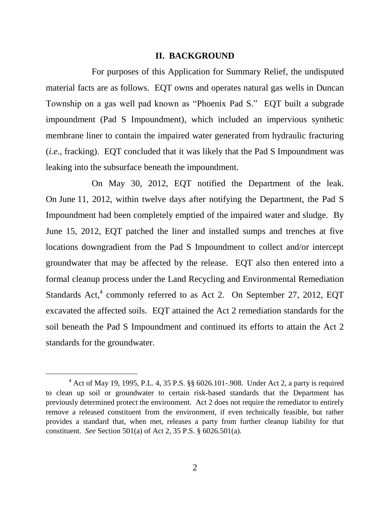#### **II. BACKGROUND**

For purposes of this Application for Summary Relief, the undisputed material facts are as follows. EQT owns and operates natural gas wells in Duncan Township on a gas well pad known as "Phoenix Pad S." EQT built a subgrade impoundment (Pad S Impoundment), which included an impervious synthetic membrane liner to contain the impaired water generated from hydraulic fracturing (*i.e.*, fracking). EQT concluded that it was likely that the Pad S Impoundment was leaking into the subsurface beneath the impoundment.

On May 30, 2012, EQT notified the Department of the leak. On June 11, 2012, within twelve days after notifying the Department, the Pad S Impoundment had been completely emptied of the impaired water and sludge. By June 15, 2012, EQT patched the liner and installed sumps and trenches at five locations downgradient from the Pad S Impoundment to collect and/or intercept groundwater that may be affected by the release. EQT also then entered into a formal cleanup process under the Land Recycling and Environmental Remediation Standards Act,<sup>4</sup> commonly referred to as Act 2. On September 27, 2012, EQT excavated the affected soils. EQT attained the Act 2 remediation standards for the soil beneath the Pad S Impoundment and continued its efforts to attain the Act 2 standards for the groundwater.

 $^{4}$  Act of May 19, 1995, P.L. 4, 35 P.S. §§ 6026.101-.908. Under Act 2, a party is required to clean up soil or groundwater to certain risk-based standards that the Department has previously determined protect the environment. Act 2 does not require the remediator to entirely remove a released constituent from the environment, if even technically feasible, but rather provides a standard that, when met, releases a party from further cleanup liability for that constituent. *See* Section 501(a) of Act 2, 35 P.S. § 6026.501(a).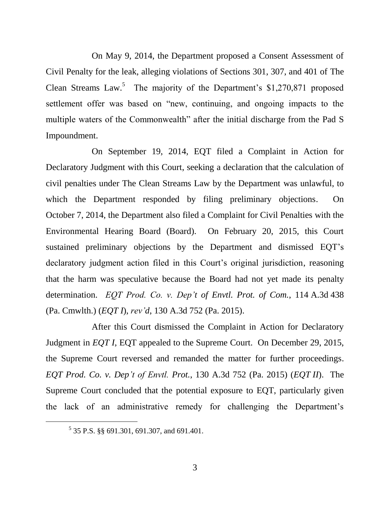On May 9, 2014, the Department proposed a Consent Assessment of Civil Penalty for the leak, alleging violations of Sections 301, 307, and 401 of The Clean Streams Law.<sup>5</sup> The majority of the Department's  $$1,270,871$  proposed settlement offer was based on "new, continuing, and ongoing impacts to the multiple waters of the Commonwealth" after the initial discharge from the Pad S Impoundment.

On September 19, 2014, EQT filed a Complaint in Action for Declaratory Judgment with this Court, seeking a declaration that the calculation of civil penalties under The Clean Streams Law by the Department was unlawful, to which the Department responded by filing preliminary objections. On October 7, 2014, the Department also filed a Complaint for Civil Penalties with the Environmental Hearing Board (Board). On February 20, 2015, this Court sustained preliminary objections by the Department and dismissed EQT's declaratory judgment action filed in this Court's original jurisdiction, reasoning that the harm was speculative because the Board had not yet made its penalty determination. *EQT Prod. Co. v. Dep't of Envtl. Prot. of Com.*, 114 A.3d 438 (Pa. Cmwlth.) (*EQT I*), *rev'd*, 130 A.3d 752 (Pa. 2015).

After this Court dismissed the Complaint in Action for Declaratory Judgment in *EQT I*, EQT appealed to the Supreme Court. On December 29, 2015, the Supreme Court reversed and remanded the matter for further proceedings. *EQT Prod. Co. v. Dep't of Envtl. Prot.*, 130 A.3d 752 (Pa. 2015) (*EQT II*). The Supreme Court concluded that the potential exposure to EQT, particularly given the lack of an administrative remedy for challenging the Department's

<sup>5</sup> 35 P.S. §§ 691.301, 691.307, and 691.401.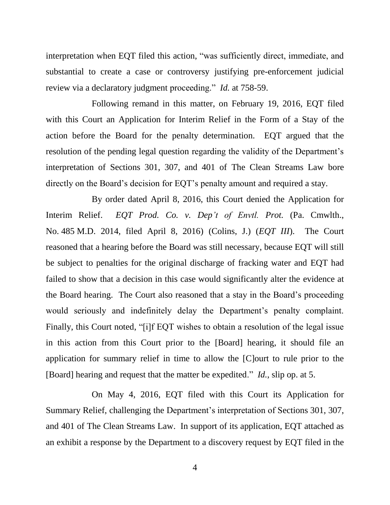interpretation when EQT filed this action, "was sufficiently direct, immediate, and substantial to create a case or controversy justifying pre-enforcement judicial review via a declaratory judgment proceeding." *Id.* at 758-59.

Following remand in this matter, on February 19, 2016, EQT filed with this Court an Application for Interim Relief in the Form of a Stay of the action before the Board for the penalty determination. EQT argued that the resolution of the pending legal question regarding the validity of the Department's interpretation of Sections 301, 307, and 401 of The Clean Streams Law bore directly on the Board's decision for EQT's penalty amount and required a stay.

By order dated April 8, 2016, this Court denied the Application for Interim Relief. *EQT Prod. Co. v. Dep't of Envtl. Prot.* (Pa. Cmwlth., No. 485 M.D. 2014, filed April 8, 2016) (Colins, J.) (*EQT III*). The Court reasoned that a hearing before the Board was still necessary, because EQT will still be subject to penalties for the original discharge of fracking water and EQT had failed to show that a decision in this case would significantly alter the evidence at the Board hearing. The Court also reasoned that a stay in the Board's proceeding would seriously and indefinitely delay the Department's penalty complaint. Finally, this Court noted, "[i]f EQT wishes to obtain a resolution of the legal issue in this action from this Court prior to the [Board] hearing, it should file an application for summary relief in time to allow the [C]ourt to rule prior to the [Board] hearing and request that the matter be expedited." *Id.*, slip op. at 5.

On May 4, 2016, EQT filed with this Court its Application for Summary Relief, challenging the Department's interpretation of Sections 301, 307, and 401 of The Clean Streams Law. In support of its application, EQT attached as an exhibit a response by the Department to a discovery request by EQT filed in the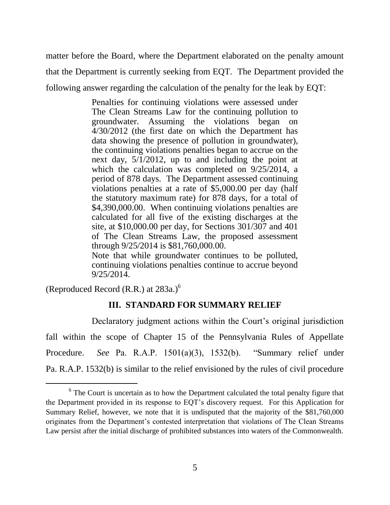matter before the Board, where the Department elaborated on the penalty amount that the Department is currently seeking from EQT. The Department provided the following answer regarding the calculation of the penalty for the leak by EQT:

> Penalties for continuing violations were assessed under The Clean Streams Law for the continuing pollution to groundwater. Assuming the violations began on 4/30/2012 (the first date on which the Department has data showing the presence of pollution in groundwater), the continuing violations penalties began to accrue on the next day, 5/1/2012, up to and including the point at which the calculation was completed on 9/25/2014, a period of 878 days. The Department assessed continuing violations penalties at a rate of \$5,000.00 per day (half the statutory maximum rate) for 878 days, for a total of \$4,390,000.00. When continuing violations penalties are calculated for all five of the existing discharges at the site, at \$10,000.00 per day, for Sections 301/307 and 401 of The Clean Streams Law, the proposed assessment through 9/25/2014 is \$81,760,000.00. Note that while groundwater continues to be polluted,

continuing violations penalties continue to accrue beyond 9/25/2014.

(Reproduced Record (R.R.) at  $283a$ .)<sup>6</sup>

 $\overline{a}$ 

# **III. STANDARD FOR SUMMARY RELIEF**

Declaratory judgment actions within the Court's original jurisdiction fall within the scope of Chapter 15 of the Pennsylvania Rules of Appellate Procedure. *See* Pa. R.A.P. 1501(a)(3), 1532(b). "Summary relief under Pa. R.A.P. 1532(b) is similar to the relief envisioned by the rules of civil procedure

<sup>&</sup>lt;sup>6</sup> The Court is uncertain as to how the Department calculated the total penalty figure that the Department provided in its response to EQT's discovery request. For this Application for Summary Relief, however, we note that it is undisputed that the majority of the \$81,760,000 originates from the Department's contested interpretation that violations of The Clean Streams Law persist after the initial discharge of prohibited substances into waters of the Commonwealth.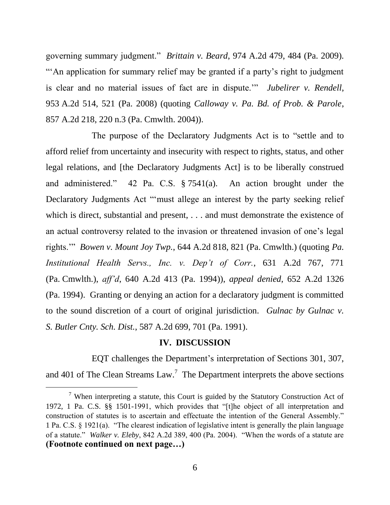governing summary judgment." *Brittain v. Beard*, 974 A.2d 479, 484 (Pa. 2009). "An application for summary relief may be granted if a party's right to judgment is clear and no material issues of fact are in dispute.'" *Jubelirer v. Rendell*, 953 A.2d 514, 521 (Pa. 2008) (quoting *Calloway v. Pa. Bd. of Prob. & Parole*, 857 A.2d 218, 220 n.3 (Pa. Cmwlth. 2004)).

The purpose of the Declaratory Judgments Act is to "settle and to afford relief from uncertainty and insecurity with respect to rights, status, and other legal relations, and [the Declaratory Judgments Act] is to be liberally construed and administered." 42 Pa. C.S. § 7541(a). An action brought under the Declaratory Judgments Act "'must allege an interest by the party seeking relief which is direct, substantial and present, . . . and must demonstrate the existence of an actual controversy related to the invasion or threatened invasion of one's legal rights.'" *Bowen v. Mount Joy Twp.*, 644 A.2d 818, 821 (Pa. Cmwlth.) (quoting *Pa. Institutional Health Servs., Inc. v. Dep't of Corr.*, 631 A.2d 767, 771 (Pa. Cmwlth.), *aff'd*, 640 A.2d 413 (Pa. 1994)), *appeal denied*, 652 A.2d 1326 (Pa. 1994). Granting or denying an action for a declaratory judgment is committed to the sound discretion of a court of original jurisdiction. *Gulnac by Gulnac v. S. Butler Cnty. Sch. Dist.*, 587 A.2d 699, 701 (Pa. 1991).

#### **IV. DISCUSSION**

EQT challenges the Department's interpretation of Sections 301, 307, and 401 of The Clean Streams Law.<sup>7</sup> The Department interprets the above sections

 $<sup>7</sup>$  When interpreting a statute, this Court is guided by the Statutory Construction Act of</sup> 1972, 1 Pa. C.S. §§ 1501-1991, which provides that "[t]he object of all interpretation and construction of statutes is to ascertain and effectuate the intention of the General Assembly." 1 Pa. C.S. § 1921(a). "The clearest indication of legislative intent is generally the plain language of a statute." *Walker v. Eleby*, 842 A.2d 389, 400 (Pa. 2004). "When the words of a statute are **(Footnote continued on next page…)**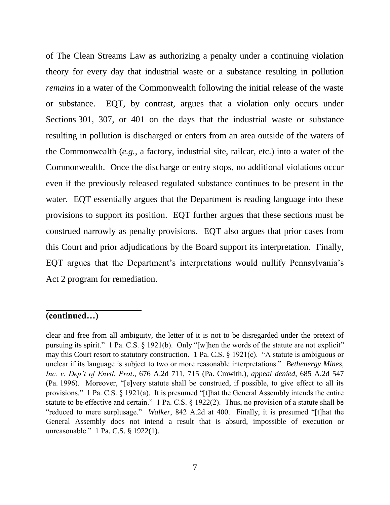of The Clean Streams Law as authorizing a penalty under a continuing violation theory for every day that industrial waste or a substance resulting in pollution *remains* in a water of the Commonwealth following the initial release of the waste or substance. EQT, by contrast, argues that a violation only occurs under Sections 301, 307, or 401 on the days that the industrial waste or substance resulting in pollution is discharged or enters from an area outside of the waters of the Commonwealth (*e.g.*, a factory, industrial site, railcar, etc.) into a water of the Commonwealth. Once the discharge or entry stops, no additional violations occur even if the previously released regulated substance continues to be present in the water. EQT essentially argues that the Department is reading language into these provisions to support its position. EQT further argues that these sections must be construed narrowly as penalty provisions. EQT also argues that prior cases from this Court and prior adjudications by the Board support its interpretation. Finally, EQT argues that the Department's interpretations would nullify Pennsylvania's Act 2 program for remediation.

## **(continued…)**

clear and free from all ambiguity, the letter of it is not to be disregarded under the pretext of pursuing its spirit." 1 Pa. C.S. § 1921(b). Only "[w]hen the words of the statute are not explicit" may this Court resort to statutory construction. 1 Pa. C.S. § 1921(c). "A statute is ambiguous or unclear if its language is subject to two or more reasonable interpretations." *Bethenergy Mines, Inc. v. Dep't of Envtl. Prot*., 676 A.2d 711, 715 (Pa. Cmwlth.), *appeal denied*, 685 A.2d 547 (Pa. 1996). Moreover, "[e]very statute shall be construed, if possible, to give effect to all its provisions." 1 Pa. C.S. § 1921(a). It is presumed "[t]hat the General Assembly intends the entire statute to be effective and certain." 1 Pa. C.S. § 1922(2). Thus, no provision of a statute shall be "reduced to mere surplusage." *Walker*, 842 A.2d at 400. Finally, it is presumed "[t]hat the General Assembly does not intend a result that is absurd, impossible of execution or unreasonable." 1 Pa. C.S. § 1922(1).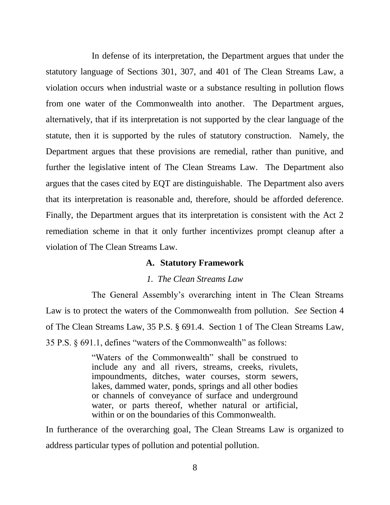In defense of its interpretation, the Department argues that under the statutory language of Sections 301, 307, and 401 of The Clean Streams Law, a violation occurs when industrial waste or a substance resulting in pollution flows from one water of the Commonwealth into another. The Department argues, alternatively, that if its interpretation is not supported by the clear language of the statute, then it is supported by the rules of statutory construction. Namely, the Department argues that these provisions are remedial, rather than punitive, and further the legislative intent of The Clean Streams Law. The Department also argues that the cases cited by EQT are distinguishable. The Department also avers that its interpretation is reasonable and, therefore, should be afforded deference. Finally, the Department argues that its interpretation is consistent with the Act 2 remediation scheme in that it only further incentivizes prompt cleanup after a violation of The Clean Streams Law.

#### **A. Statutory Framework**

### *1. The Clean Streams Law*

The General Assembly's overarching intent in The Clean Streams Law is to protect the waters of the Commonwealth from pollution. *See* Section 4 of The Clean Streams Law, 35 P.S. § 691.4. Section 1 of The Clean Streams Law, 35 P.S. § 691.1, defines "waters of the Commonwealth" as follows:

> "Waters of the Commonwealth" shall be construed to include any and all rivers, streams, creeks, rivulets, impoundments, ditches, water courses, storm sewers, lakes, dammed water, ponds, springs and all other bodies or channels of conveyance of surface and underground water, or parts thereof, whether natural or artificial, within or on the boundaries of this Commonwealth.

In furtherance of the overarching goal, The Clean Streams Law is organized to address particular types of pollution and potential pollution.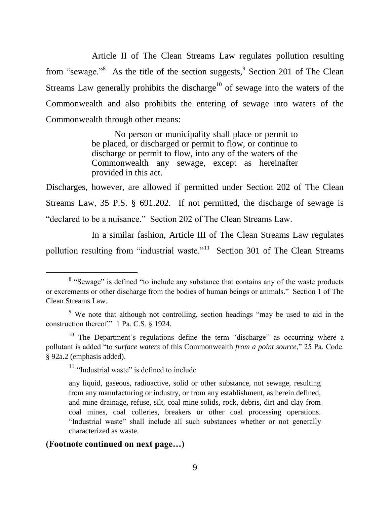Article II of The Clean Streams Law regulates pollution resulting from "sewage."<sup>8</sup> As the title of the section suggests,  $9$  Section 201 of The Clean Streams Law generally prohibits the discharge<sup>10</sup> of sewage into the waters of the Commonwealth and also prohibits the entering of sewage into waters of the Commonwealth through other means:

> No person or municipality shall place or permit to be placed, or discharged or permit to flow, or continue to discharge or permit to flow, into any of the waters of the Commonwealth any sewage, except as hereinafter provided in this act.

Discharges, however, are allowed if permitted under Section 202 of The Clean Streams Law, 35 P.S. § 691.202. If not permitted, the discharge of sewage is "declared to be a nuisance." Section 202 of The Clean Streams Law.

In a similar fashion, Article III of The Clean Streams Law regulates pollution resulting from "industrial waste."<sup>11</sup> Section 301 of The Clean Streams

<sup>11</sup> "Industrial waste" is defined to include

## **(Footnote continued on next page…)**

<sup>&</sup>lt;sup>8</sup> "Sewage" is defined "to include any substance that contains any of the waste products or excrements or other discharge from the bodies of human beings or animals." Section 1 of The Clean Streams Law.

<sup>9</sup> We note that although not controlling, section headings "may be used to aid in the construction thereof." 1 Pa. C.S. § 1924.

<sup>&</sup>lt;sup>10</sup> The Department's regulations define the term "discharge" as occurring where a pollutant is added "to *surface waters* of this Commonwealth *from a point source*," 25 Pa. Code. § 92a.2 (emphasis added).

any liquid, gaseous, radioactive, solid or other substance, not sewage, resulting from any manufacturing or industry, or from any establishment, as herein defined, and mine drainage, refuse, silt, coal mine solids, rock, debris, dirt and clay from coal mines, coal colleries, breakers or other coal processing operations. "Industrial waste" shall include all such substances whether or not generally characterized as waste.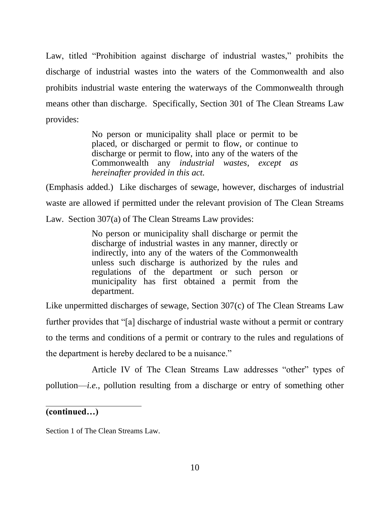Law, titled "Prohibition against discharge of industrial wastes," prohibits the discharge of industrial wastes into the waters of the Commonwealth and also prohibits industrial waste entering the waterways of the Commonwealth through means other than discharge. Specifically, Section 301 of The Clean Streams Law provides:

> No person or municipality shall place or permit to be placed, or discharged or permit to flow, or continue to discharge or permit to flow, into any of the waters of the Commonwealth any *industrial wastes*, *except as hereinafter provided in this act.*

(Emphasis added.) Like discharges of sewage, however, discharges of industrial waste are allowed if permitted under the relevant provision of The Clean Streams Law. Section 307(a) of The Clean Streams Law provides:

> No person or municipality shall discharge or permit the discharge of industrial wastes in any manner, directly or indirectly, into any of the waters of the Commonwealth unless such discharge is authorized by the rules and regulations of the department or such person or municipality has first obtained a permit from the department.

Like unpermitted discharges of sewage, Section 307(c) of The Clean Streams Law further provides that "[a] discharge of industrial waste without a permit or contrary to the terms and conditions of a permit or contrary to the rules and regulations of the department is hereby declared to be a nuisance."

Article IV of The Clean Streams Law addresses "other" types of pollution—*i.e.*, pollution resulting from a discharge or entry of something other

**(continued…)**

l,

Section 1 of The Clean Streams Law.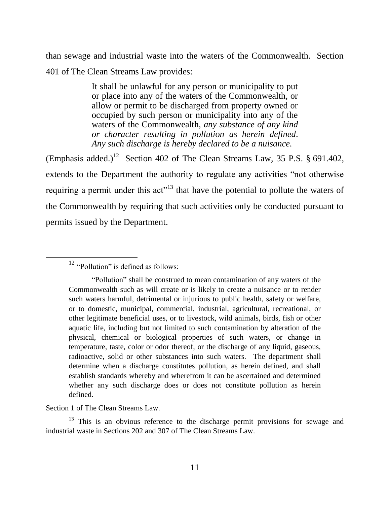than sewage and industrial waste into the waters of the Commonwealth. Section 401 of The Clean Streams Law provides:

> It shall be unlawful for any person or municipality to put or place into any of the waters of the Commonwealth, or allow or permit to be discharged from property owned or occupied by such person or municipality into any of the waters of the Commonwealth, *any substance of any kind or character resulting in pollution as herein defined*. *Any such discharge is hereby declared to be a nuisance.*

(Emphasis added.)<sup>12</sup> Section 402 of The Clean Streams Law, 35 P.S. § 691.402, extends to the Department the authority to regulate any activities "not otherwise requiring a permit under this act<sup>313</sup> that have the potential to pollute the waters of the Commonwealth by requiring that such activities only be conducted pursuant to permits issued by the Department.

 $\overline{a}$ 

Section 1 of The Clean Streams Law.

<sup>13</sup> This is an obvious reference to the discharge permit provisions for sewage and industrial waste in Sections 202 and 307 of The Clean Streams Law.

<sup>&</sup>lt;sup>12</sup> "Pollution" is defined as follows:

<sup>&</sup>quot;Pollution" shall be construed to mean contamination of any waters of the Commonwealth such as will create or is likely to create a nuisance or to render such waters harmful, detrimental or injurious to public health, safety or welfare, or to domestic, municipal, commercial, industrial, agricultural, recreational, or other legitimate beneficial uses, or to livestock, wild animals, birds, fish or other aquatic life, including but not limited to such contamination by alteration of the physical, chemical or biological properties of such waters, or change in temperature, taste, color or odor thereof, or the discharge of any liquid, gaseous, radioactive, solid or other substances into such waters. The department shall determine when a discharge constitutes pollution, as herein defined, and shall establish standards whereby and wherefrom it can be ascertained and determined whether any such discharge does or does not constitute pollution as herein defined.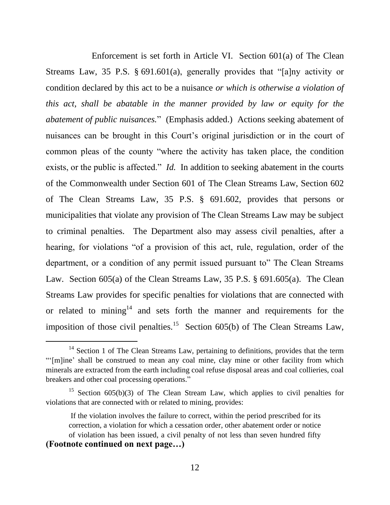Enforcement is set forth in Article VI. Section 601(a) of The Clean Streams Law, 35 P.S. § 691.601(a), generally provides that "[a]ny activity or condition declared by this act to be a nuisance *or which is otherwise a violation of this act, shall be abatable in the manner provided by law or equity for the abatement of public nuisances.*" (Emphasis added.) Actions seeking abatement of nuisances can be brought in this Court's original jurisdiction or in the court of common pleas of the county "where the activity has taken place, the condition exists, or the public is affected." *Id.* In addition to seeking abatement in the courts of the Commonwealth under Section 601 of The Clean Streams Law, Section 602 of The Clean Streams Law, 35 P.S. § 691.602, provides that persons or municipalities that violate any provision of The Clean Streams Law may be subject to criminal penalties. The Department also may assess civil penalties, after a hearing, for violations "of a provision of this act, rule, regulation, order of the department, or a condition of any permit issued pursuant to" The Clean Streams Law. Section 605(a) of the Clean Streams Law, 35 P.S. § 691.605(a). The Clean Streams Law provides for specific penalties for violations that are connected with or related to mining<sup>14</sup> and sets forth the manner and requirements for the imposition of those civil penalties.<sup>15</sup> Section  $605(b)$  of The Clean Streams Law,

<sup>&</sup>lt;sup>14</sup> Section 1 of The Clean Streams Law, pertaining to definitions, provides that the term "'[m]ine' shall be construed to mean any coal mine, clay mine or other facility from which minerals are extracted from the earth including coal refuse disposal areas and coal collieries, coal breakers and other coal processing operations."

<sup>&</sup>lt;sup>15</sup> Section 605(b)(3) of The Clean Stream Law, which applies to civil penalties for violations that are connected with or related to mining, provides:

If the violation involves the failure to correct, within the period prescribed for its correction, a violation for which a cessation order, other abatement order or notice of violation has been issued, a civil penalty of not less than seven hundred fifty **(Footnote continued on next page…)**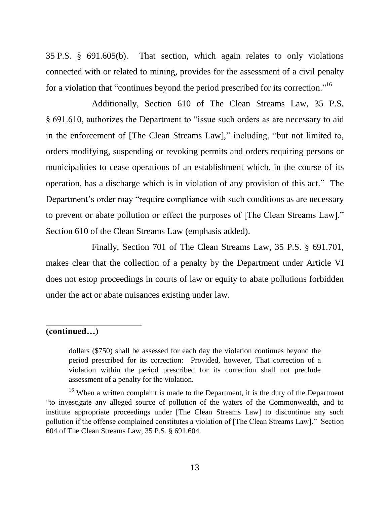35 P.S. § 691.605(b). That section, which again relates to only violations connected with or related to mining, provides for the assessment of a civil penalty for a violation that "continues beyond the period prescribed for its correction."<sup>16</sup>

Additionally, Section 610 of The Clean Streams Law, 35 P.S. § 691.610, authorizes the Department to "issue such orders as are necessary to aid in the enforcement of [The Clean Streams Law]," including, "but not limited to, orders modifying, suspending or revoking permits and orders requiring persons or municipalities to cease operations of an establishment which, in the course of its operation, has a discharge which is in violation of any provision of this act." The Department's order may "require compliance with such conditions as are necessary to prevent or abate pollution or effect the purposes of [The Clean Streams Law]." Section 610 of the Clean Streams Law (emphasis added).

Finally, Section 701 of The Clean Streams Law, 35 P.S. § 691.701, makes clear that the collection of a penalty by the Department under Article VI does not estop proceedings in courts of law or equity to abate pollutions forbidden under the act or abate nuisances existing under law.

## **(continued…)**

dollars (\$750) shall be assessed for each day the violation continues beyond the period prescribed for its correction: Provided, however, That correction of a violation within the period prescribed for its correction shall not preclude assessment of a penalty for the violation.

<sup>16</sup> When a written complaint is made to the Department, it is the duty of the Department "to investigate any alleged source of pollution of the waters of the Commonwealth, and to institute appropriate proceedings under [The Clean Streams Law] to discontinue any such pollution if the offense complained constitutes a violation of [The Clean Streams Law]." Section 604 of The Clean Streams Law, 35 P.S. § 691.604.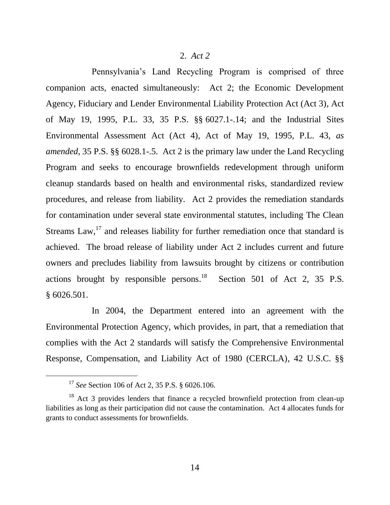### 2. *Act 2*

Pennsylvania's Land Recycling Program is comprised of three companion acts, enacted simultaneously: Act 2; the Economic Development Agency, Fiduciary and Lender Environmental Liability Protection Act (Act 3), Act of May 19, 1995, P.L. 33, 35 P.S. §§ 6027.1-.14; and the Industrial Sites Environmental Assessment Act (Act 4), Act of May 19, 1995, P.L. 43, *as amended*, 35 P.S. §§ 6028.1-.5. Act 2 is the primary law under the Land Recycling Program and seeks to encourage brownfields redevelopment through uniform cleanup standards based on health and environmental risks, standardized review procedures, and release from liability. Act 2 provides the remediation standards for contamination under several state environmental statutes, including The Clean Streams Law,<sup>17</sup> and releases liability for further remediation once that standard is achieved. The broad release of liability under Act 2 includes current and future owners and precludes liability from lawsuits brought by citizens or contribution actions brought by responsible persons. $^{18}$  Section 501 of Act 2, 35 P.S. § 6026.501.

In 2004, the Department entered into an agreement with the Environmental Protection Agency, which provides, in part, that a remediation that complies with the Act 2 standards will satisfy the Comprehensive Environmental Response, Compensation, and Liability Act of 1980 (CERCLA), 42 U.S.C. §§

<sup>17</sup> *See* Section 106 of Act 2, 35 P.S. § 6026.106.

<sup>&</sup>lt;sup>18</sup> Act 3 provides lenders that finance a recycled brownfield protection from clean-up liabilities as long as their participation did not cause the contamination. Act 4 allocates funds for grants to conduct assessments for brownfields.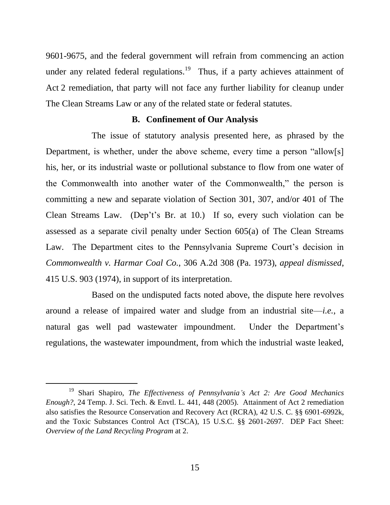9601-9675, and the federal government will refrain from commencing an action under any related federal regulations.<sup>19</sup> Thus, if a party achieves attainment of Act 2 remediation, that party will not face any further liability for cleanup under The Clean Streams Law or any of the related state or federal statutes.

### **B. Confinement of Our Analysis**

The issue of statutory analysis presented here, as phrased by the Department, is whether, under the above scheme, every time a person "allow[s] his, her, or its industrial waste or pollutional substance to flow from one water of the Commonwealth into another water of the Commonwealth," the person is committing a new and separate violation of Section 301, 307, and/or 401 of The Clean Streams Law. (Dep't's Br. at 10.) If so, every such violation can be assessed as a separate civil penalty under Section 605(a) of The Clean Streams Law. The Department cites to the Pennsylvania Supreme Court's decision in *Commonwealth v. Harmar Coal Co.*, 306 A.2d 308 (Pa. 1973), *appeal dismissed*, 415 U.S. 903 (1974), in support of its interpretation.

Based on the undisputed facts noted above, the dispute here revolves around a release of impaired water and sludge from an industrial site—*i.e.*, a natural gas well pad wastewater impoundment. Under the Department's regulations, the wastewater impoundment, from which the industrial waste leaked,

<sup>19</sup> Shari Shapiro, *The Effectiveness of Pennsylvania's Act 2: Are Good Mechanics Enough?*, 24 Temp. J. Sci. Tech. & Envtl. L. 441, 448 (2005). Attainment of Act 2 remediation also satisfies the Resource Conservation and Recovery Act (RCRA), 42 U.S. C. §§ 6901-6992k, and the Toxic Substances Control Act (TSCA), 15 U.S.C. §§ 2601-2697. DEP Fact Sheet: *Overview of the Land Recycling Program* at 2.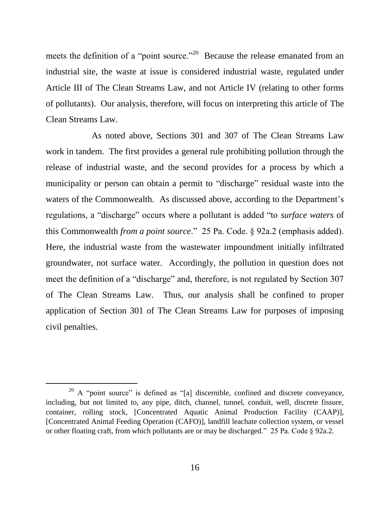meets the definition of a "point source."<sup>20</sup> Because the release emanated from an industrial site, the waste at issue is considered industrial waste, regulated under Article III of The Clean Streams Law, and not Article IV (relating to other forms of pollutants). Our analysis, therefore, will focus on interpreting this article of The Clean Streams Law.

As noted above, Sections 301 and 307 of The Clean Streams Law work in tandem. The first provides a general rule prohibiting pollution through the release of industrial waste, and the second provides for a process by which a municipality or person can obtain a permit to "discharge" residual waste into the waters of the Commonwealth. As discussed above, according to the Department's regulations, a "discharge" occurs where a pollutant is added "to *surface waters* of this Commonwealth *from a point source*." 25 Pa. Code. § 92a.2 (emphasis added). Here, the industrial waste from the wastewater impoundment initially infiltrated groundwater, not surface water. Accordingly, the pollution in question does not meet the definition of a "discharge" and, therefore, is not regulated by Section 307 of The Clean Streams Law. Thus, our analysis shall be confined to proper application of Section 301 of The Clean Streams Law for purposes of imposing civil penalties.

 $20$  A "point source" is defined as "[a] discernible, confined and discrete conveyance, including, but not limited to, any pipe, ditch, channel, tunnel, conduit, well, discrete fissure, container, rolling stock, [Concentrated Aquatic Animal Production Facility (CAAP)], [Concentrated Animal Feeding Operation (CAFO)], landfill leachate collection system, or vessel or other floating craft, from which pollutants are or may be discharged." 25 Pa. Code § 92a.2.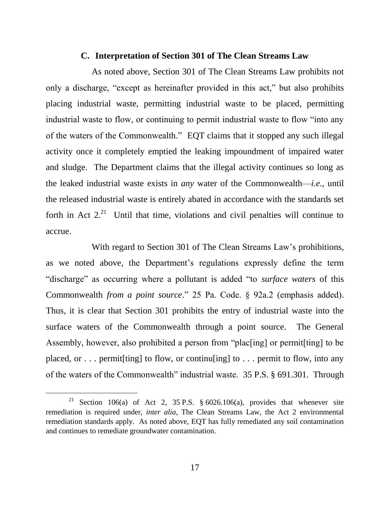#### **C. Interpretation of Section 301 of The Clean Streams Law**

As noted above, Section 301 of The Clean Streams Law prohibits not only a discharge, "except as hereinafter provided in this act," but also prohibits placing industrial waste, permitting industrial waste to be placed, permitting industrial waste to flow, or continuing to permit industrial waste to flow "into any of the waters of the Commonwealth." EQT claims that it stopped any such illegal activity once it completely emptied the leaking impoundment of impaired water and sludge. The Department claims that the illegal activity continues so long as the leaked industrial waste exists in *any* water of the Commonwealth—*i.e.*, until the released industrial waste is entirely abated in accordance with the standards set forth in Act  $2<sup>21</sup>$  Until that time, violations and civil penalties will continue to accrue.

With regard to Section 301 of The Clean Streams Law's prohibitions, as we noted above, the Department's regulations expressly define the term "discharge" as occurring where a pollutant is added "to *surface waters* of this Commonwealth *from a point source*." 25 Pa. Code. § 92a.2 (emphasis added). Thus, it is clear that Section 301 prohibits the entry of industrial waste into the surface waters of the Commonwealth through a point source. The General Assembly, however, also prohibited a person from "plac[ing] or permit[ting] to be placed, or  $\ldots$  permit [ting] to flow, or continularly to  $\ldots$  permit to flow, into any of the waters of the Commonwealth" industrial waste. 35 P.S. § 691.301. Through

<sup>&</sup>lt;sup>21</sup> Section 106(a) of Act 2, 35 P.S. § 6026.106(a), provides that whenever site remediation is required under, *inter alia*, The Clean Streams Law, the Act 2 environmental remediation standards apply. As noted above, EQT has fully remediated any soil contamination and continues to remediate groundwater contamination.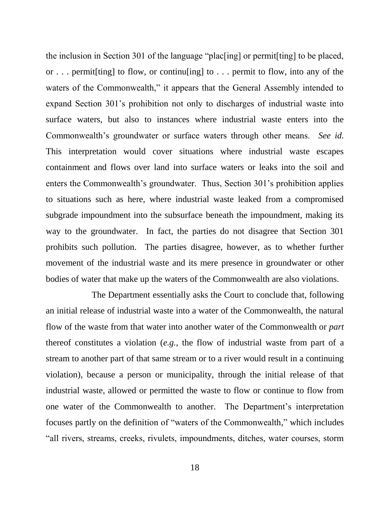the inclusion in Section 301 of the language "plac[ing] or permit[ting] to be placed, or . . . permit[ting] to flow, or continu[ing] to . . . permit to flow, into any of the waters of the Commonwealth," it appears that the General Assembly intended to expand Section 301's prohibition not only to discharges of industrial waste into surface waters, but also to instances where industrial waste enters into the Commonwealth's groundwater or surface waters through other means. *See id.* This interpretation would cover situations where industrial waste escapes containment and flows over land into surface waters or leaks into the soil and enters the Commonwealth's groundwater. Thus, Section 301's prohibition applies to situations such as here, where industrial waste leaked from a compromised subgrade impoundment into the subsurface beneath the impoundment, making its way to the groundwater. In fact, the parties do not disagree that Section 301 prohibits such pollution. The parties disagree, however, as to whether further movement of the industrial waste and its mere presence in groundwater or other bodies of water that make up the waters of the Commonwealth are also violations.

The Department essentially asks the Court to conclude that, following an initial release of industrial waste into a water of the Commonwealth, the natural flow of the waste from that water into another water of the Commonwealth or *part* thereof constitutes a violation (*e.g.*, the flow of industrial waste from part of a stream to another part of that same stream or to a river would result in a continuing violation), because a person or municipality, through the initial release of that industrial waste, allowed or permitted the waste to flow or continue to flow from one water of the Commonwealth to another. The Department's interpretation focuses partly on the definition of "waters of the Commonwealth," which includes "all rivers, streams, creeks, rivulets, impoundments, ditches, water courses, storm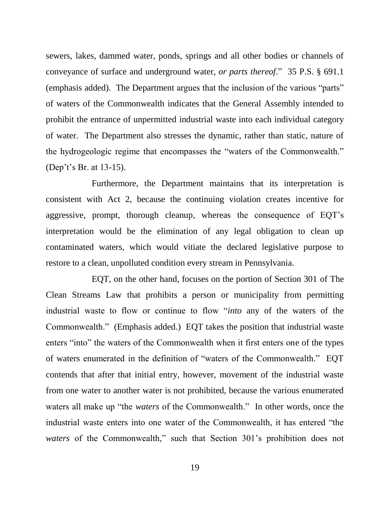sewers, lakes, dammed water, ponds, springs and all other bodies or channels of conveyance of surface and underground water, *or parts thereof*." 35 P.S. § 691.1 (emphasis added). The Department argues that the inclusion of the various "parts" of waters of the Commonwealth indicates that the General Assembly intended to prohibit the entrance of unpermitted industrial waste into each individual category of water. The Department also stresses the dynamic, rather than static, nature of the hydrogeologic regime that encompasses the "waters of the Commonwealth." (Dep't's Br. at 13-15).

Furthermore, the Department maintains that its interpretation is consistent with Act 2, because the continuing violation creates incentive for aggressive, prompt, thorough cleanup, whereas the consequence of EQT's interpretation would be the elimination of any legal obligation to clean up contaminated waters, which would vitiate the declared legislative purpose to restore to a clean, unpolluted condition every stream in Pennsylvania.

EQT, on the other hand, focuses on the portion of Section 301 of The Clean Streams Law that prohibits a person or municipality from permitting industrial waste to flow or continue to flow "*into* any of the waters of the Commonwealth." (Emphasis added.) EQT takes the position that industrial waste enters "into" the waters of the Commonwealth when it first enters one of the types of waters enumerated in the definition of "waters of the Commonwealth." EQT contends that after that initial entry, however, movement of the industrial waste from one water to another water is not prohibited, because the various enumerated waters all make up "the *waters* of the Commonwealth." In other words, once the industrial waste enters into one water of the Commonwealth, it has entered "the *waters* of the Commonwealth," such that Section 301's prohibition does not

19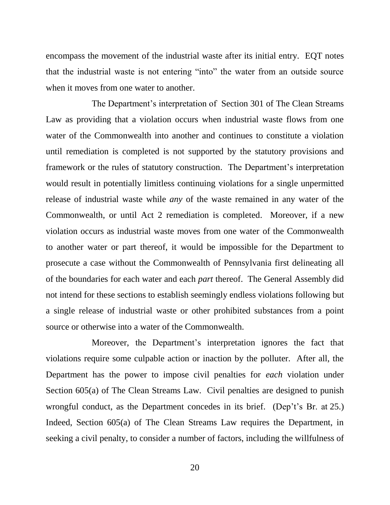encompass the movement of the industrial waste after its initial entry. EQT notes that the industrial waste is not entering "into" the water from an outside source when it moves from one water to another.

The Department's interpretation of Section 301 of The Clean Streams Law as providing that a violation occurs when industrial waste flows from one water of the Commonwealth into another and continues to constitute a violation until remediation is completed is not supported by the statutory provisions and framework or the rules of statutory construction. The Department's interpretation would result in potentially limitless continuing violations for a single unpermitted release of industrial waste while *any* of the waste remained in any water of the Commonwealth, or until Act 2 remediation is completed. Moreover, if a new violation occurs as industrial waste moves from one water of the Commonwealth to another water or part thereof, it would be impossible for the Department to prosecute a case without the Commonwealth of Pennsylvania first delineating all of the boundaries for each water and each *part* thereof. The General Assembly did not intend for these sections to establish seemingly endless violations following but a single release of industrial waste or other prohibited substances from a point source or otherwise into a water of the Commonwealth.

Moreover, the Department's interpretation ignores the fact that violations require some culpable action or inaction by the polluter. After all, the Department has the power to impose civil penalties for *each* violation under Section 605(a) of The Clean Streams Law. Civil penalties are designed to punish wrongful conduct, as the Department concedes in its brief. (Dep't's Br. at 25.) Indeed, Section 605(a) of The Clean Streams Law requires the Department, in seeking a civil penalty, to consider a number of factors, including the willfulness of

20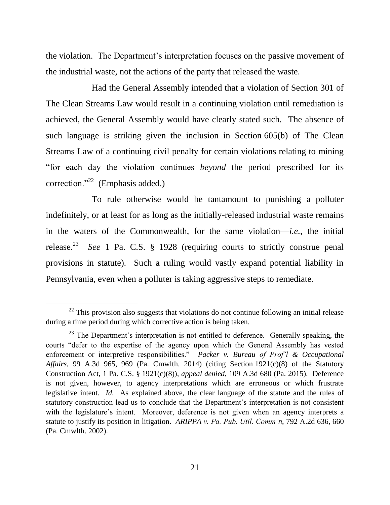the violation. The Department's interpretation focuses on the passive movement of the industrial waste, not the actions of the party that released the waste.

Had the General Assembly intended that a violation of Section 301 of The Clean Streams Law would result in a continuing violation until remediation is achieved, the General Assembly would have clearly stated such. The absence of such language is striking given the inclusion in Section 605(b) of The Clean Streams Law of a continuing civil penalty for certain violations relating to mining "for each day the violation continues *beyond* the period prescribed for its correction."<sup>22</sup> (Emphasis added.)

To rule otherwise would be tantamount to punishing a polluter indefinitely, or at least for as long as the initially-released industrial waste remains in the waters of the Commonwealth, for the same violation—*i.e.*, the initial release.<sup>23</sup> *See* 1 Pa. C.S.  $\S$  1928 (requiring courts to strictly construe penal provisions in statute). Such a ruling would vastly expand potential liability in Pennsylvania, even when a polluter is taking aggressive steps to remediate.

 $22$  This provision also suggests that violations do not continue following an initial release during a time period during which corrective action is being taken.

<sup>&</sup>lt;sup>23</sup> The Department's interpretation is not entitled to deference. Generally speaking, the courts "defer to the expertise of the agency upon which the General Assembly has vested enforcement or interpretive responsibilities." *Packer v. Bureau of Prof'l & Occupational Affairs*, 99 A.3d 965, 969 (Pa. Cmwlth. 2014) (citing Section 1921(c)(8) of the Statutory Construction Act, 1 Pa. C.S. § 1921(c)(8)), *appeal denied*, 109 A.3d 680 (Pa. 2015). Deference is not given, however, to agency interpretations which are erroneous or which frustrate legislative intent. *Id.* As explained above, the clear language of the statute and the rules of statutory construction lead us to conclude that the Department's interpretation is not consistent with the legislature's intent. Moreover, deference is not given when an agency interprets a statute to justify its position in litigation. *ARIPPA v. Pa. Pub. Util. Comm'n*, 792 A.2d 636, 660 (Pa. Cmwlth. 2002).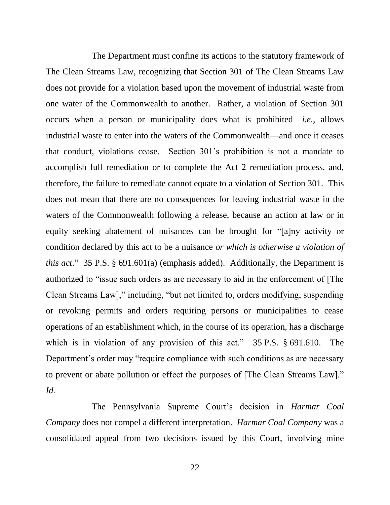The Department must confine its actions to the statutory framework of The Clean Streams Law, recognizing that Section 301 of The Clean Streams Law does not provide for a violation based upon the movement of industrial waste from one water of the Commonwealth to another. Rather, a violation of Section 301 occurs when a person or municipality does what is prohibited—*i.e.*, allows industrial waste to enter into the waters of the Commonwealth—and once it ceases that conduct, violations cease. Section 301's prohibition is not a mandate to accomplish full remediation or to complete the Act 2 remediation process, and, therefore, the failure to remediate cannot equate to a violation of Section 301. This does not mean that there are no consequences for leaving industrial waste in the waters of the Commonwealth following a release, because an action at law or in equity seeking abatement of nuisances can be brought for "[a]ny activity or condition declared by this act to be a nuisance *or which is otherwise a violation of this act*." 35 P.S. § 691.601(a) (emphasis added). Additionally, the Department is authorized to "issue such orders as are necessary to aid in the enforcement of [The Clean Streams Law]," including, "but not limited to, orders modifying, suspending or revoking permits and orders requiring persons or municipalities to cease operations of an establishment which, in the course of its operation, has a discharge which is in violation of any provision of this act." 35 P.S. § 691.610. The Department's order may "require compliance with such conditions as are necessary to prevent or abate pollution or effect the purposes of [The Clean Streams Law]." *Id.*

The Pennsylvania Supreme Court's decision in *Harmar Coal Company* does not compel a different interpretation. *Harmar Coal Company* was a consolidated appeal from two decisions issued by this Court, involving mine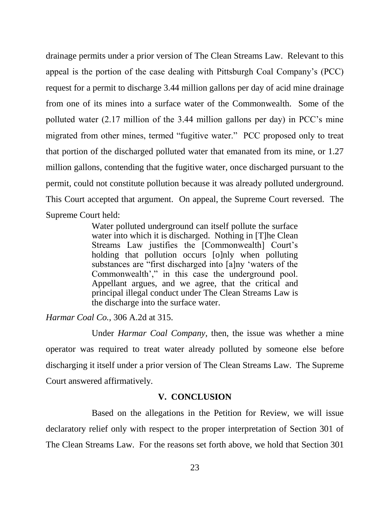drainage permits under a prior version of The Clean Streams Law. Relevant to this appeal is the portion of the case dealing with Pittsburgh Coal Company's (PCC) request for a permit to discharge 3.44 million gallons per day of acid mine drainage from one of its mines into a surface water of the Commonwealth. Some of the polluted water (2.17 million of the 3.44 million gallons per day) in PCC's mine migrated from other mines, termed "fugitive water." PCC proposed only to treat that portion of the discharged polluted water that emanated from its mine, or 1.27 million gallons, contending that the fugitive water, once discharged pursuant to the permit, could not constitute pollution because it was already polluted underground. This Court accepted that argument. On appeal, the Supreme Court reversed. The Supreme Court held:

> Water polluted underground can itself pollute the surface water into which it is discharged. Nothing in [T]he Clean Streams Law justifies the [Commonwealth] Court's holding that pollution occurs [o]nly when polluting substances are "first discharged into [a]ny 'waters of the Commonwealth'," in this case the underground pool. Appellant argues, and we agree, that the critical and principal illegal conduct under The Clean Streams Law is the discharge into the surface water.

*Harmar Coal Co.*, 306 A.2d at 315.

Under *Harmar Coal Company*, then, the issue was whether a mine operator was required to treat water already polluted by someone else before discharging it itself under a prior version of The Clean Streams Law. The Supreme Court answered affirmatively.

## **V. CONCLUSION**

Based on the allegations in the Petition for Review, we will issue declaratory relief only with respect to the proper interpretation of Section 301 of The Clean Streams Law. For the reasons set forth above, we hold that Section 301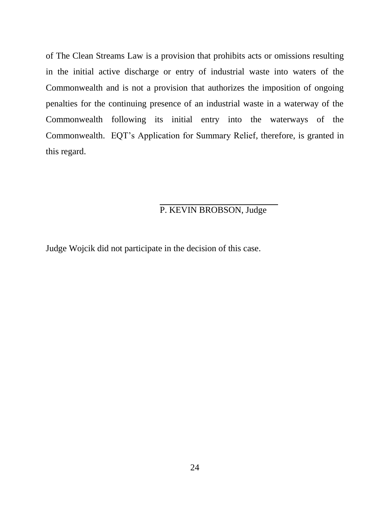of The Clean Streams Law is a provision that prohibits acts or omissions resulting in the initial active discharge or entry of industrial waste into waters of the Commonwealth and is not a provision that authorizes the imposition of ongoing penalties for the continuing presence of an industrial waste in a waterway of the Commonwealth following its initial entry into the waterways of the Commonwealth. EQT's Application for Summary Relief, therefore, is granted in this regard.

# P. KEVIN BROBSON, Judge

Judge Wojcik did not participate in the decision of this case.